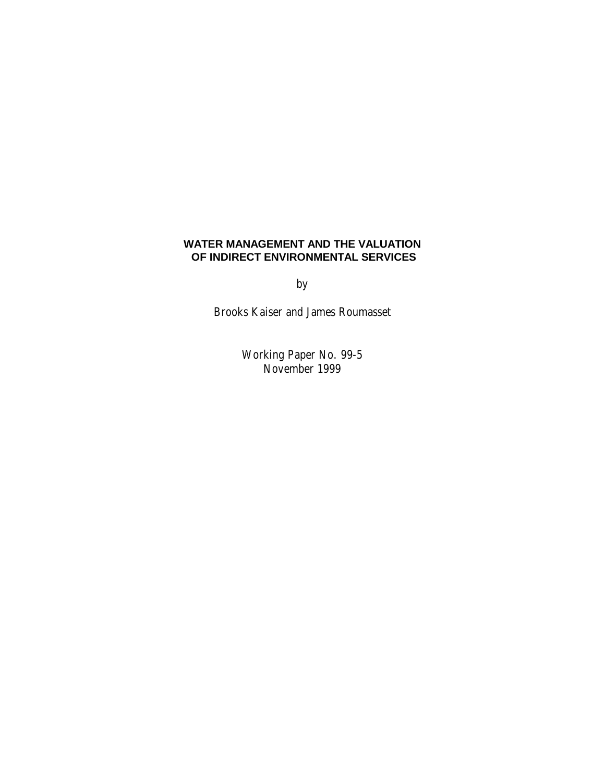# **WATER MANAGEMENT AND THE VALUATION OF INDIRECT ENVIRONMENTAL SERVICES**

**by** 

Brooks Kaiser and James Roumasset

 Working Paper No. 99-5 November 1999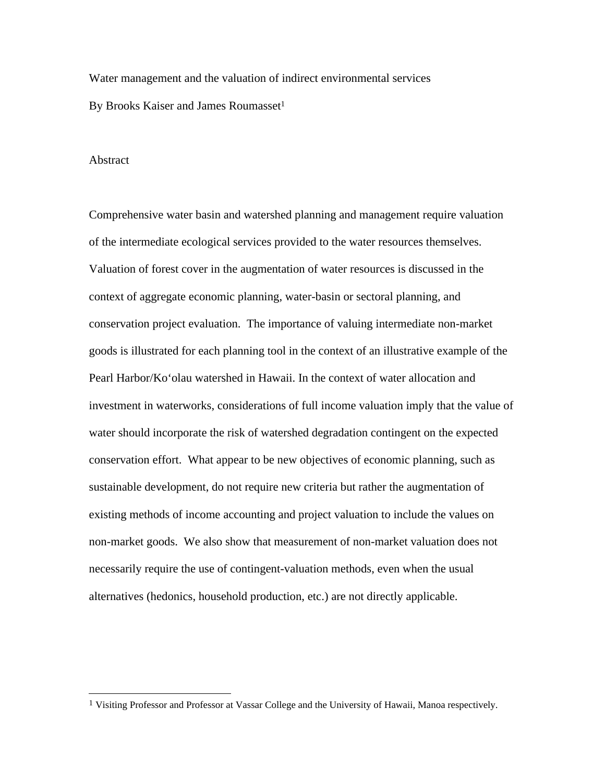Water management and the valuation of indirect environmental services By Brooks Kaiser and James Roumasset<sup>1</sup>

#### Abstract

 $\overline{a}$ 

Comprehensive water basin and watershed planning and management require valuation of the intermediate ecological services provided to the water resources themselves. Valuation of forest cover in the augmentation of water resources is discussed in the context of aggregate economic planning, water-basin or sectoral planning, and conservation project evaluation. The importance of valuing intermediate non-market goods is illustrated for each planning tool in the context of an illustrative example of the Pearl Harbor/Ko'olau watershed in Hawaii. In the context of water allocation and investment in waterworks, considerations of full income valuation imply that the value of water should incorporate the risk of watershed degradation contingent on the expected conservation effort. What appear to be new objectives of economic planning, such as sustainable development, do not require new criteria but rather the augmentation of existing methods of income accounting and project valuation to include the values on non-market goods. We also show that measurement of non-market valuation does not necessarily require the use of contingent-valuation methods, even when the usual alternatives (hedonics, household production, etc.) are not directly applicable.

<sup>1</sup> Visiting Professor and Professor at Vassar College and the University of Hawaii, Manoa respectively.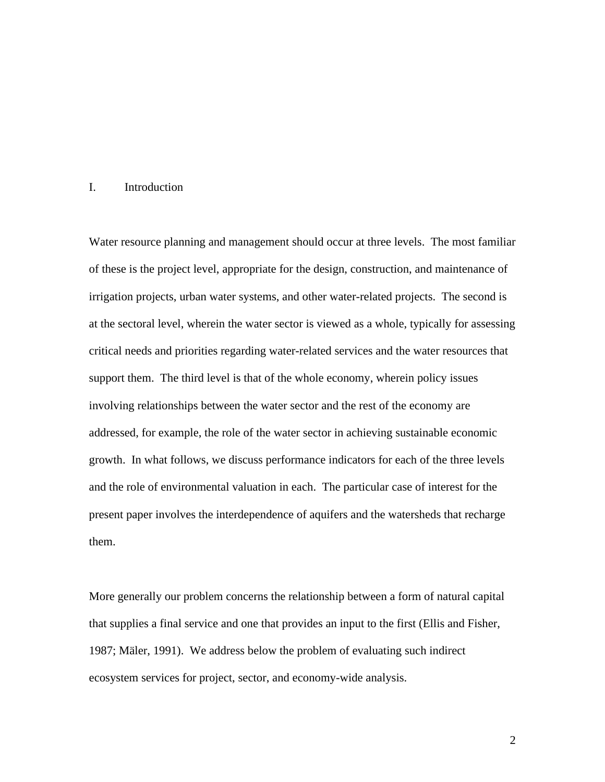### I. Introduction

Water resource planning and management should occur at three levels. The most familiar of these is the project level, appropriate for the design, construction, and maintenance of irrigation projects, urban water systems, and other water-related projects. The second is at the sectoral level, wherein the water sector is viewed as a whole, typically for assessing critical needs and priorities regarding water-related services and the water resources that support them. The third level is that of the whole economy, wherein policy issues involving relationships between the water sector and the rest of the economy are addressed, for example, the role of the water sector in achieving sustainable economic growth. In what follows, we discuss performance indicators for each of the three levels and the role of environmental valuation in each. The particular case of interest for the present paper involves the interdependence of aquifers and the watersheds that recharge them.

More generally our problem concerns the relationship between a form of natural capital that supplies a final service and one that provides an input to the first (Ellis and Fisher, 1987; Mäler, 1991). We address below the problem of evaluating such indirect ecosystem services for project, sector, and economy-wide analysis.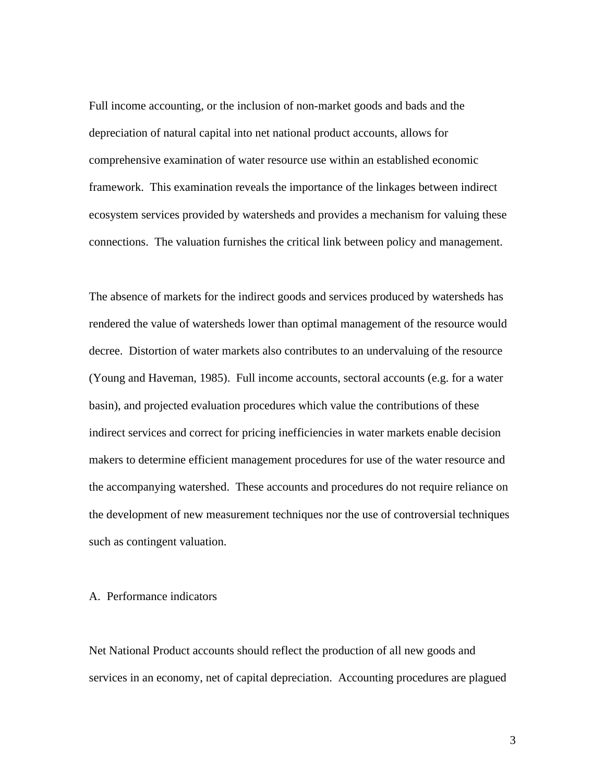Full income accounting, or the inclusion of non-market goods and bads and the depreciation of natural capital into net national product accounts, allows for comprehensive examination of water resource use within an established economic framework. This examination reveals the importance of the linkages between indirect ecosystem services provided by watersheds and provides a mechanism for valuing these connections. The valuation furnishes the critical link between policy and management.

The absence of markets for the indirect goods and services produced by watersheds has rendered the value of watersheds lower than optimal management of the resource would decree. Distortion of water markets also contributes to an undervaluing of the resource (Young and Haveman, 1985). Full income accounts, sectoral accounts (e.g. for a water basin), and projected evaluation procedures which value the contributions of these indirect services and correct for pricing inefficiencies in water markets enable decision makers to determine efficient management procedures for use of the water resource and the accompanying watershed. These accounts and procedures do not require reliance on the development of new measurement techniques nor the use of controversial techniques such as contingent valuation.

### A. Performance indicators

Net National Product accounts should reflect the production of all new goods and services in an economy, net of capital depreciation. Accounting procedures are plagued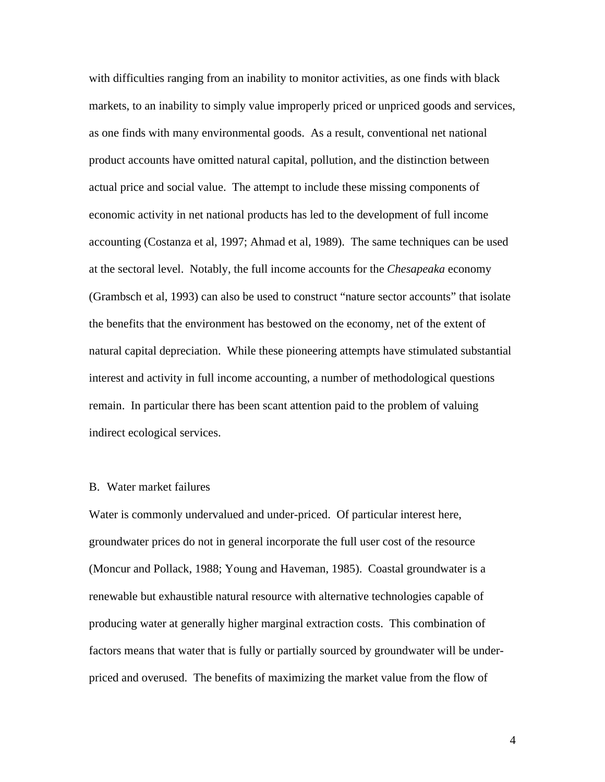with difficulties ranging from an inability to monitor activities, as one finds with black markets, to an inability to simply value improperly priced or unpriced goods and services, as one finds with many environmental goods. As a result, conventional net national product accounts have omitted natural capital, pollution, and the distinction between actual price and social value. The attempt to include these missing components of economic activity in net national products has led to the development of full income accounting (Costanza et al, 1997; Ahmad et al, 1989). The same techniques can be used at the sectoral level. Notably, the full income accounts for the *Chesapeaka* economy (Grambsch et al, 1993) can also be used to construct "nature sector accounts" that isolate the benefits that the environment has bestowed on the economy, net of the extent of natural capital depreciation. While these pioneering attempts have stimulated substantial interest and activity in full income accounting, a number of methodological questions remain. In particular there has been scant attention paid to the problem of valuing indirect ecological services.

#### B. Water market failures

Water is commonly undervalued and under-priced. Of particular interest here, groundwater prices do not in general incorporate the full user cost of the resource (Moncur and Pollack, 1988; Young and Haveman, 1985). Coastal groundwater is a renewable but exhaustible natural resource with alternative technologies capable of producing water at generally higher marginal extraction costs. This combination of factors means that water that is fully or partially sourced by groundwater will be underpriced and overused. The benefits of maximizing the market value from the flow of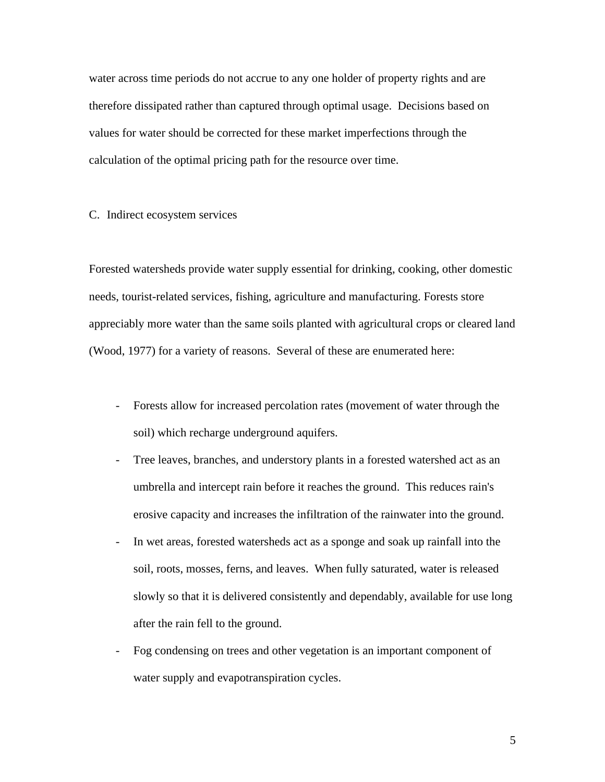water across time periods do not accrue to any one holder of property rights and are therefore dissipated rather than captured through optimal usage. Decisions based on values for water should be corrected for these market imperfections through the calculation of the optimal pricing path for the resource over time.

### C. Indirect ecosystem services

Forested watersheds provide water supply essential for drinking, cooking, other domestic needs, tourist-related services, fishing, agriculture and manufacturing. Forests store appreciably more water than the same soils planted with agricultural crops or cleared land (Wood, 1977) for a variety of reasons. Several of these are enumerated here:

- Forests allow for increased percolation rates (movement of water through the soil) which recharge underground aquifers.
- Tree leaves, branches, and understory plants in a forested watershed act as an umbrella and intercept rain before it reaches the ground. This reduces rain's erosive capacity and increases the infiltration of the rainwater into the ground.
- In wet areas, forested watersheds act as a sponge and soak up rainfall into the soil, roots, mosses, ferns, and leaves. When fully saturated, water is released slowly so that it is delivered consistently and dependably, available for use long after the rain fell to the ground.
- Fog condensing on trees and other vegetation is an important component of water supply and evapotranspiration cycles.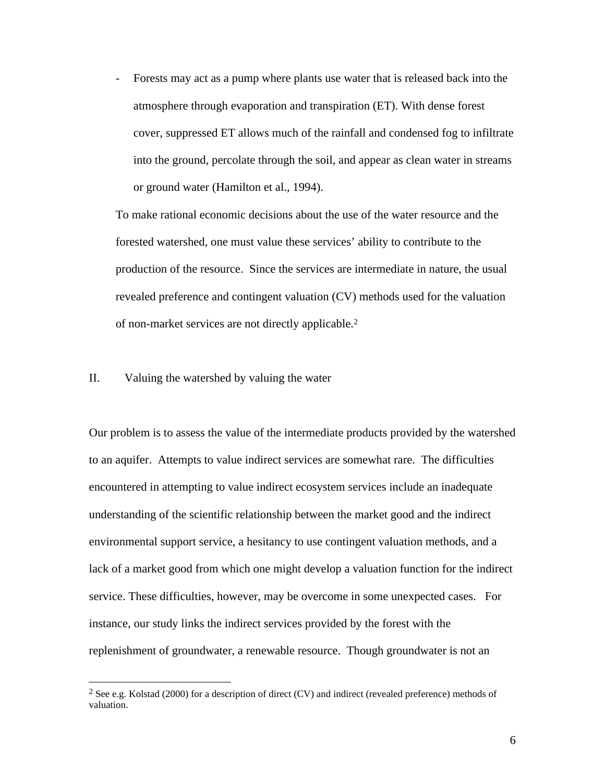- Forests may act as a pump where plants use water that is released back into the atmosphere through evaporation and transpiration (ET). With dense forest cover, suppressed ET allows much of the rainfall and condensed fog to infiltrate into the ground, percolate through the soil, and appear as clean water in streams or ground water (Hamilton et al., 1994).

To make rational economic decisions about the use of the water resource and the forested watershed, one must value these services' ability to contribute to the production of the resource. Since the services are intermediate in nature, the usual revealed preference and contingent valuation (CV) methods used for the valuation of non-market services are not directly applicable.<sup>2</sup>

### II. Valuing the watershed by valuing the water

l

Our problem is to assess the value of the intermediate products provided by the watershed to an aquifer. Attempts to value indirect services are somewhat rare. The difficulties encountered in attempting to value indirect ecosystem services include an inadequate understanding of the scientific relationship between the market good and the indirect environmental support service, a hesitancy to use contingent valuation methods, and a lack of a market good from which one might develop a valuation function for the indirect service. These difficulties, however, may be overcome in some unexpected cases. For instance, our study links the indirect services provided by the forest with the replenishment of groundwater, a renewable resource. Though groundwater is not an

<sup>&</sup>lt;sup>2</sup> See e.g. Kolstad (2000) for a description of direct (CV) and indirect (revealed preference) methods of valuation.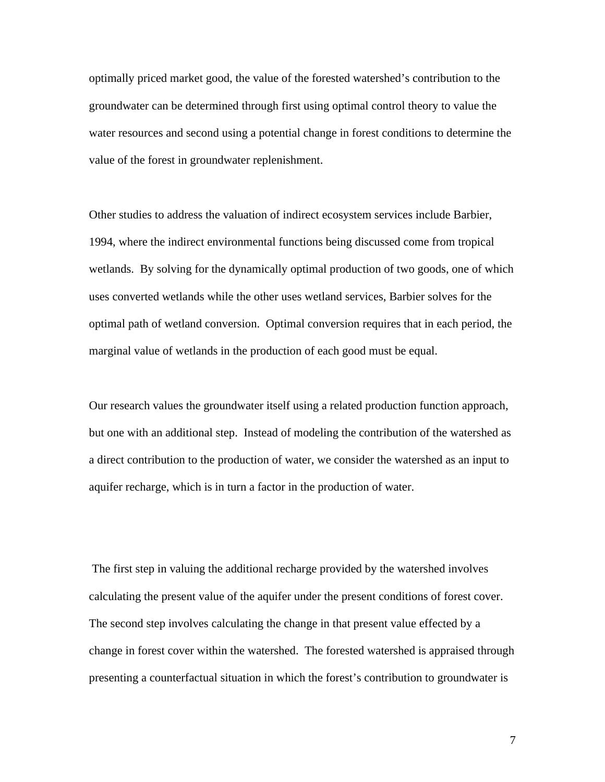optimally priced market good, the value of the forested watershed's contribution to the groundwater can be determined through first using optimal control theory to value the water resources and second using a potential change in forest conditions to determine the value of the forest in groundwater replenishment.

Other studies to address the valuation of indirect ecosystem services include Barbier, 1994, where the indirect environmental functions being discussed come from tropical wetlands. By solving for the dynamically optimal production of two goods, one of which uses converted wetlands while the other uses wetland services, Barbier solves for the optimal path of wetland conversion. Optimal conversion requires that in each period, the marginal value of wetlands in the production of each good must be equal.

Our research values the groundwater itself using a related production function approach, but one with an additional step. Instead of modeling the contribution of the watershed as a direct contribution to the production of water, we consider the watershed as an input to aquifer recharge, which is in turn a factor in the production of water.

 The first step in valuing the additional recharge provided by the watershed involves calculating the present value of the aquifer under the present conditions of forest cover. The second step involves calculating the change in that present value effected by a change in forest cover within the watershed. The forested watershed is appraised through presenting a counterfactual situation in which the forest's contribution to groundwater is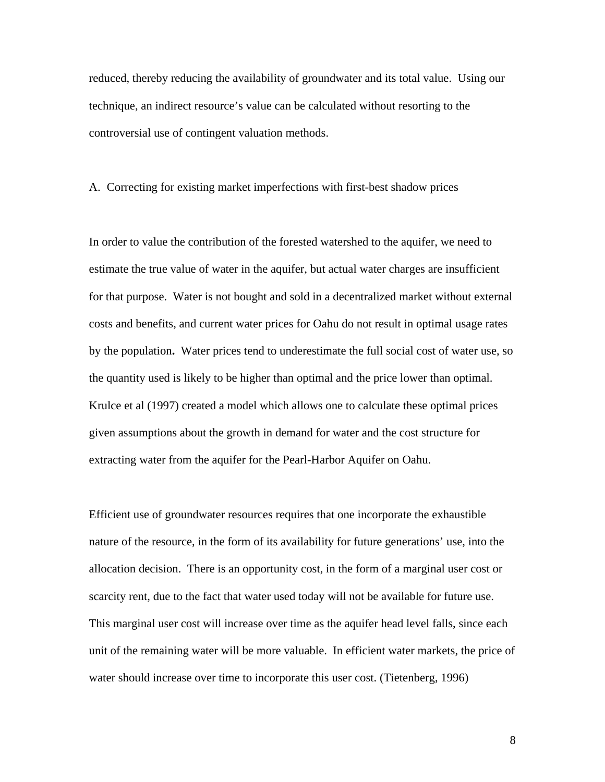reduced, thereby reducing the availability of groundwater and its total value. Using our technique, an indirect resource's value can be calculated without resorting to the controversial use of contingent valuation methods.

## A. Correcting for existing market imperfections with first-best shadow prices

In order to value the contribution of the forested watershed to the aquifer, we need to estimate the true value of water in the aquifer, but actual water charges are insufficient for that purpose. Water is not bought and sold in a decentralized market without external costs and benefits, and current water prices for Oahu do not result in optimal usage rates by the population**.** Water prices tend to underestimate the full social cost of water use, so the quantity used is likely to be higher than optimal and the price lower than optimal. Krulce et al (1997) created a model which allows one to calculate these optimal prices given assumptions about the growth in demand for water and the cost structure for extracting water from the aquifer for the Pearl-Harbor Aquifer on Oahu.

Efficient use of groundwater resources requires that one incorporate the exhaustible nature of the resource, in the form of its availability for future generations' use, into the allocation decision. There is an opportunity cost, in the form of a marginal user cost or scarcity rent, due to the fact that water used today will not be available for future use. This marginal user cost will increase over time as the aquifer head level falls, since each unit of the remaining water will be more valuable. In efficient water markets, the price of water should increase over time to incorporate this user cost. (Tietenberg, 1996)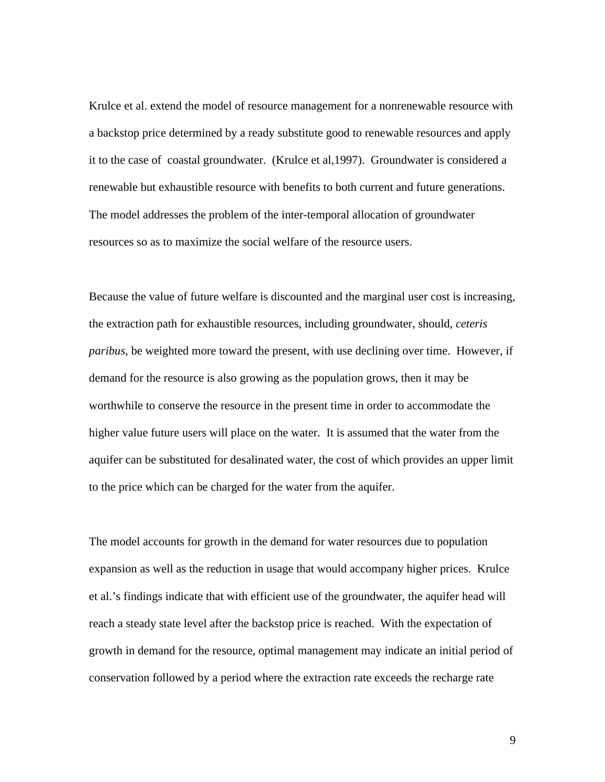Krulce et al. extend the model of resource management for a nonrenewable resource with a backstop price determined by a ready substitute good to renewable resources and apply it to the case of coastal groundwater. (Krulce et al,1997). Groundwater is considered a renewable but exhaustible resource with benefits to both current and future generations. The model addresses the problem of the inter-temporal allocation of groundwater resources so as to maximize the social welfare of the resource users.

Because the value of future welfare is discounted and the marginal user cost is increasing, the extraction path for exhaustible resources, including groundwater, should, *ceteris paribus*, be weighted more toward the present, with use declining over time. However, if demand for the resource is also growing as the population grows, then it may be worthwhile to conserve the resource in the present time in order to accommodate the higher value future users will place on the water. It is assumed that the water from the aquifer can be substituted for desalinated water, the cost of which provides an upper limit to the price which can be charged for the water from the aquifer.

The model accounts for growth in the demand for water resources due to population expansion as well as the reduction in usage that would accompany higher prices. Krulce et al.'s findings indicate that with efficient use of the groundwater, the aquifer head will reach a steady state level after the backstop price is reached. With the expectation of growth in demand for the resource, optimal management may indicate an initial period of conservation followed by a period where the extraction rate exceeds the recharge rate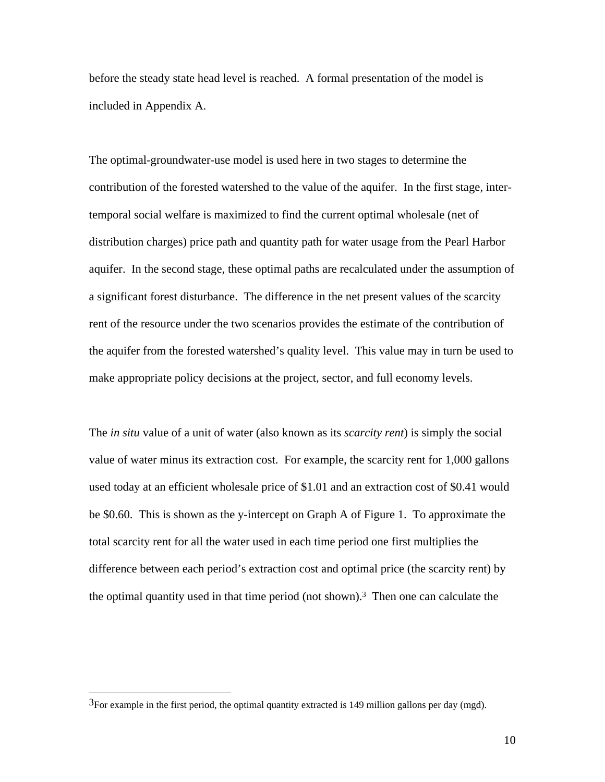before the steady state head level is reached. A formal presentation of the model is included in Appendix A.

The optimal-groundwater-use model is used here in two stages to determine the contribution of the forested watershed to the value of the aquifer. In the first stage, intertemporal social welfare is maximized to find the current optimal wholesale (net of distribution charges) price path and quantity path for water usage from the Pearl Harbor aquifer. In the second stage, these optimal paths are recalculated under the assumption of a significant forest disturbance. The difference in the net present values of the scarcity rent of the resource under the two scenarios provides the estimate of the contribution of the aquifer from the forested watershed's quality level. This value may in turn be used to make appropriate policy decisions at the project, sector, and full economy levels.

The *in situ* value of a unit of water (also known as its *scarcity rent*) is simply the social value of water minus its extraction cost. For example, the scarcity rent for 1,000 gallons used today at an efficient wholesale price of \$1.01 and an extraction cost of \$0.41 would be \$0.60. This is shown as the y-intercept on Graph A of Figure 1. To approximate the total scarcity rent for all the water used in each time period one first multiplies the difference between each period's extraction cost and optimal price (the scarcity rent) by the optimal quantity used in that time period (not shown).3 Then one can calculate the

l

<sup>3</sup>For example in the first period, the optimal quantity extracted is 149 million gallons per day (mgd).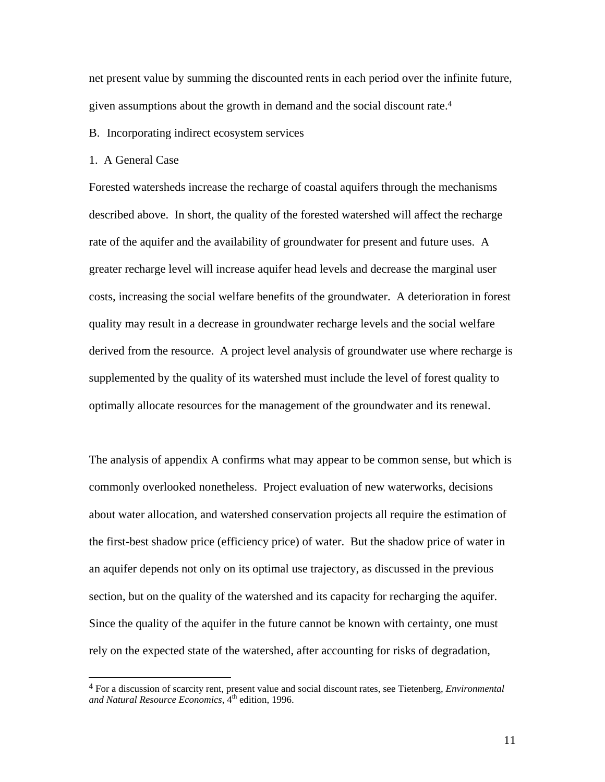net present value by summing the discounted rents in each period over the infinite future, given assumptions about the growth in demand and the social discount rate.<sup>4</sup>

B. Incorporating indirect ecosystem services

1. A General Case

 $\overline{a}$ 

Forested watersheds increase the recharge of coastal aquifers through the mechanisms described above. In short, the quality of the forested watershed will affect the recharge rate of the aquifer and the availability of groundwater for present and future uses. A greater recharge level will increase aquifer head levels and decrease the marginal user costs, increasing the social welfare benefits of the groundwater. A deterioration in forest quality may result in a decrease in groundwater recharge levels and the social welfare derived from the resource. A project level analysis of groundwater use where recharge is supplemented by the quality of its watershed must include the level of forest quality to optimally allocate resources for the management of the groundwater and its renewal.

The analysis of appendix A confirms what may appear to be common sense, but which is commonly overlooked nonetheless. Project evaluation of new waterworks, decisions about water allocation, and watershed conservation projects all require the estimation of the first-best shadow price (efficiency price) of water. But the shadow price of water in an aquifer depends not only on its optimal use trajectory, as discussed in the previous section, but on the quality of the watershed and its capacity for recharging the aquifer. Since the quality of the aquifer in the future cannot be known with certainty, one must rely on the expected state of the watershed, after accounting for risks of degradation,

<sup>4</sup> For a discussion of scarcity rent, present value and social discount rates, see Tietenberg, *Environmental* and Natural Resource Economics, <sup>4th</sup> edition, 1996.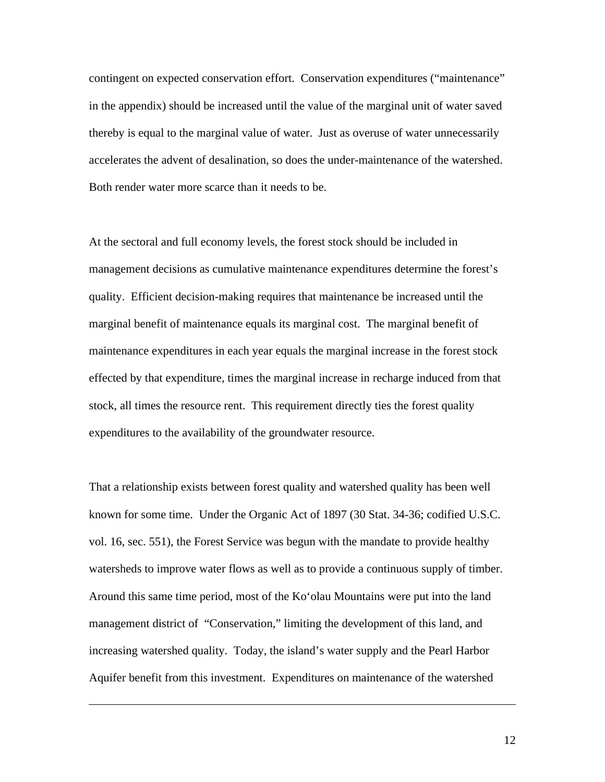contingent on expected conservation effort. Conservation expenditures ("maintenance" in the appendix) should be increased until the value of the marginal unit of water saved thereby is equal to the marginal value of water. Just as overuse of water unnecessarily accelerates the advent of desalination, so does the under-maintenance of the watershed. Both render water more scarce than it needs to be.

At the sectoral and full economy levels, the forest stock should be included in management decisions as cumulative maintenance expenditures determine the forest's quality. Efficient decision-making requires that maintenance be increased until the marginal benefit of maintenance equals its marginal cost. The marginal benefit of maintenance expenditures in each year equals the marginal increase in the forest stock effected by that expenditure, times the marginal increase in recharge induced from that stock, all times the resource rent. This requirement directly ties the forest quality expenditures to the availability of the groundwater resource.

That a relationship exists between forest quality and watershed quality has been well known for some time. Under the Organic Act of 1897 (30 Stat. 34-36; codified U.S.C. vol. 16, sec. 551), the Forest Service was begun with the mandate to provide healthy watersheds to improve water flows as well as to provide a continuous supply of timber. Around this same time period, most of the Ko'olau Mountains were put into the land management district of "Conservation," limiting the development of this land, and increasing watershed quality. Today, the island's water supply and the Pearl Harbor Aquifer benefit from this investment. Expenditures on maintenance of the watershed

l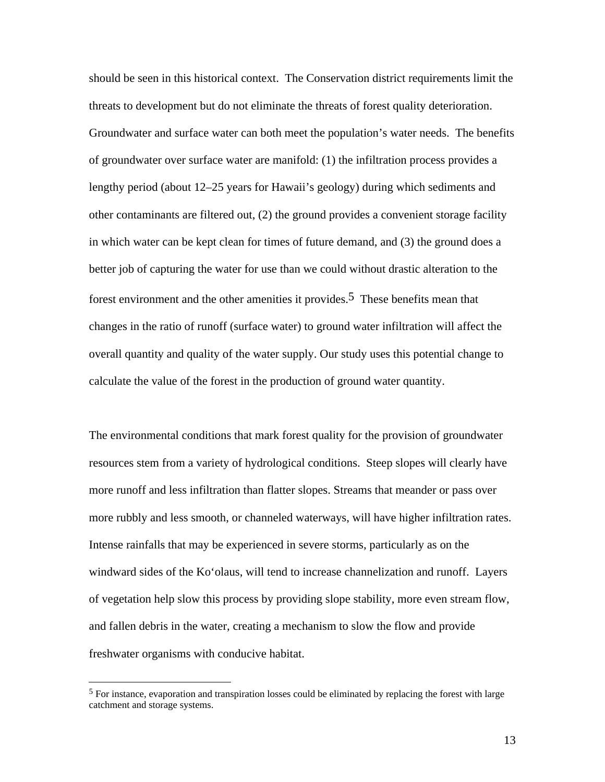should be seen in this historical context. The Conservation district requirements limit the threats to development but do not eliminate the threats of forest quality deterioration. Groundwater and surface water can both meet the population's water needs. The benefits of groundwater over surface water are manifold: (1) the infiltration process provides a lengthy period (about 12–25 years for Hawaii's geology) during which sediments and other contaminants are filtered out, (2) the ground provides a convenient storage facility in which water can be kept clean for times of future demand, and (3) the ground does a better job of capturing the water for use than we could without drastic alteration to the forest environment and the other amenities it provides.<sup>5</sup> These benefits mean that changes in the ratio of runoff (surface water) to ground water infiltration will affect the overall quantity and quality of the water supply. Our study uses this potential change to calculate the value of the forest in the production of ground water quantity.

The environmental conditions that mark forest quality for the provision of groundwater resources stem from a variety of hydrological conditions. Steep slopes will clearly have more runoff and less infiltration than flatter slopes. Streams that meander or pass over more rubbly and less smooth, or channeled waterways, will have higher infiltration rates. Intense rainfalls that may be experienced in severe storms, particularly as on the windward sides of the Ko'olaus, will tend to increase channelization and runoff. Layers of vegetation help slow this process by providing slope stability, more even stream flow, and fallen debris in the water, creating a mechanism to slow the flow and provide freshwater organisms with conducive habitat.

l

 $<sup>5</sup>$  For instance, evaporation and transpiration losses could be eliminated by replacing the forest with large</sup> catchment and storage systems.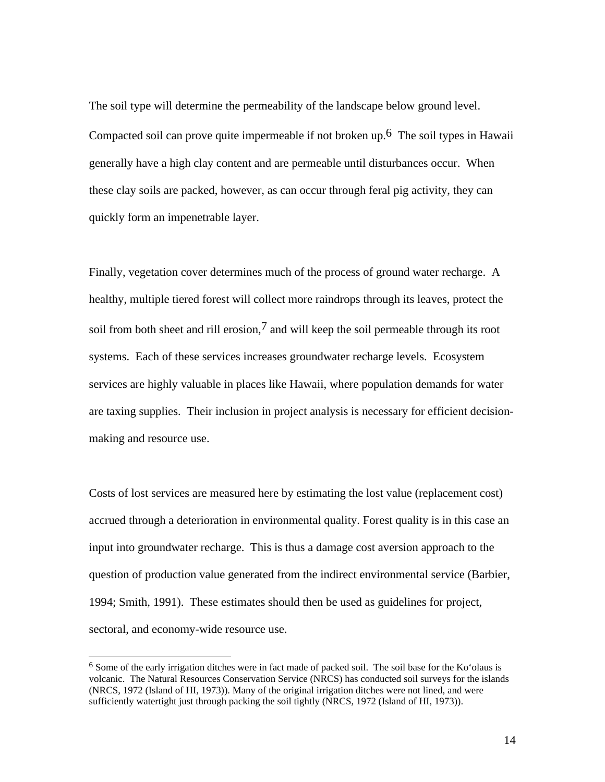The soil type will determine the permeability of the landscape below ground level. Compacted soil can prove quite impermeable if not broken up.<sup>6</sup> The soil types in Hawaii generally have a high clay content and are permeable until disturbances occur. When these clay soils are packed, however, as can occur through feral pig activity, they can quickly form an impenetrable layer.

Finally, vegetation cover determines much of the process of ground water recharge. A healthy, multiple tiered forest will collect more raindrops through its leaves, protect the soil from both sheet and rill erosion,  $\frac{7}{1}$  and will keep the soil permeable through its root systems. Each of these services increases groundwater recharge levels. Ecosystem services are highly valuable in places like Hawaii, where population demands for water are taxing supplies. Their inclusion in project analysis is necessary for efficient decisionmaking and resource use.

Costs of lost services are measured here by estimating the lost value (replacement cost) accrued through a deterioration in environmental quality. Forest quality is in this case an input into groundwater recharge. This is thus a damage cost aversion approach to the question of production value generated from the indirect environmental service (Barbier, 1994; Smith, 1991). These estimates should then be used as guidelines for project, sectoral, and economy-wide resource use.

 $\overline{a}$ 

<sup>&</sup>lt;sup>6</sup> Some of the early irrigation ditches were in fact made of packed soil. The soil base for the Ko'olaus is volcanic. The Natural Resources Conservation Service (NRCS) has conducted soil surveys for the islands (NRCS, 1972 (Island of HI, 1973)). Many of the original irrigation ditches were not lined, and were sufficiently watertight just through packing the soil tightly (NRCS, 1972 (Island of HI, 1973)).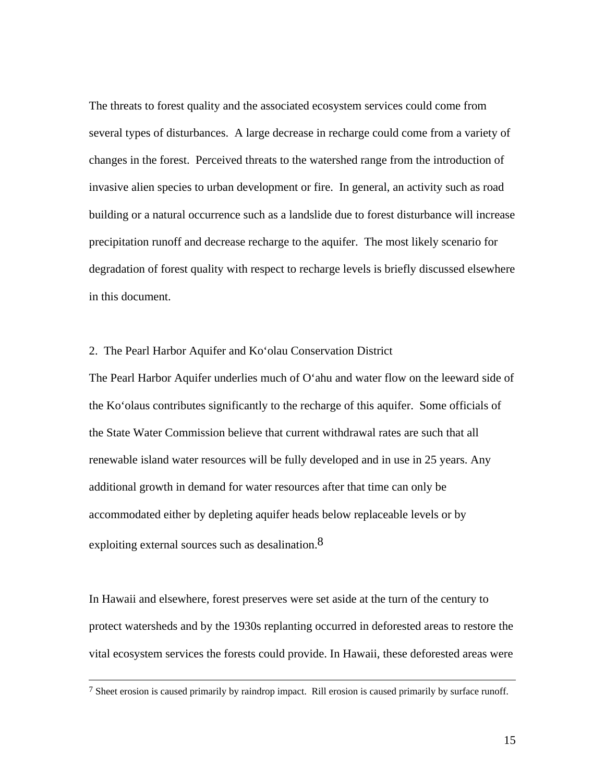The threats to forest quality and the associated ecosystem services could come from several types of disturbances. A large decrease in recharge could come from a variety of changes in the forest. Perceived threats to the watershed range from the introduction of invasive alien species to urban development or fire. In general, an activity such as road building or a natural occurrence such as a landslide due to forest disturbance will increase precipitation runoff and decrease recharge to the aquifer. The most likely scenario for degradation of forest quality with respect to recharge levels is briefly discussed elsewhere in this document.

#### 2. The Pearl Harbor Aquifer and Ko'olau Conservation District

The Pearl Harbor Aquifer underlies much of O'ahu and water flow on the leeward side of the Ko'olaus contributes significantly to the recharge of this aquifer. Some officials of the State Water Commission believe that current withdrawal rates are such that all renewable island water resources will be fully developed and in use in 25 years. Any additional growth in demand for water resources after that time can only be accommodated either by depleting aquifer heads below replaceable levels or by exploiting external sources such as desalination.<sup>8</sup>

In Hawaii and elsewhere, forest preserves were set aside at the turn of the century to protect watersheds and by the 1930s replanting occurred in deforested areas to restore the vital ecosystem services the forests could provide. In Hawaii, these deforested areas were

 $\overline{a}$ 

 $7$  Sheet erosion is caused primarily by raindrop impact. Rill erosion is caused primarily by surface runoff.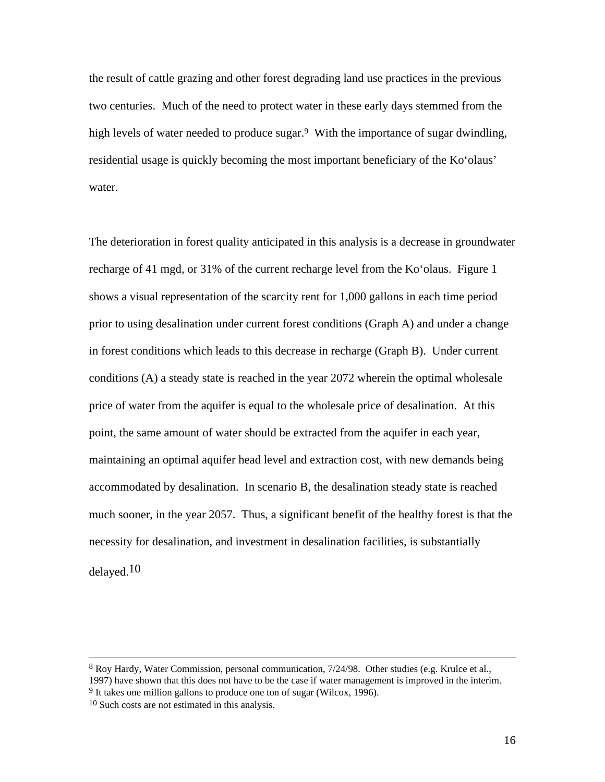the result of cattle grazing and other forest degrading land use practices in the previous two centuries. Much of the need to protect water in these early days stemmed from the high levels of water needed to produce sugar.<sup>9</sup> With the importance of sugar dwindling, residential usage is quickly becoming the most important beneficiary of the Ko'olaus' water.

The deterioration in forest quality anticipated in this analysis is a decrease in groundwater recharge of 41 mgd, or 31% of the current recharge level from the Ko'olaus. Figure 1 shows a visual representation of the scarcity rent for 1,000 gallons in each time period prior to using desalination under current forest conditions (Graph A) and under a change in forest conditions which leads to this decrease in recharge (Graph B). Under current conditions (A) a steady state is reached in the year 2072 wherein the optimal wholesale price of water from the aquifer is equal to the wholesale price of desalination. At this point, the same amount of water should be extracted from the aquifer in each year, maintaining an optimal aquifer head level and extraction cost, with new demands being accommodated by desalination. In scenario B, the desalination steady state is reached much sooner, in the year 2057. Thus, a significant benefit of the healthy forest is that the necessity for desalination, and investment in desalination facilities, is substantially delayed.10

<sup>9</sup> It takes one million gallons to produce one ton of sugar (Wilcox, 1996).

 $\overline{\phantom{a}}$ 

<sup>8</sup> Roy Hardy, Water Commission, personal communication, 7/24/98. Other studies (e.g. Krulce et al., 1997) have shown that this does not have to be the case if water management is improved in the interim.

<sup>10</sup> Such costs are not estimated in this analysis.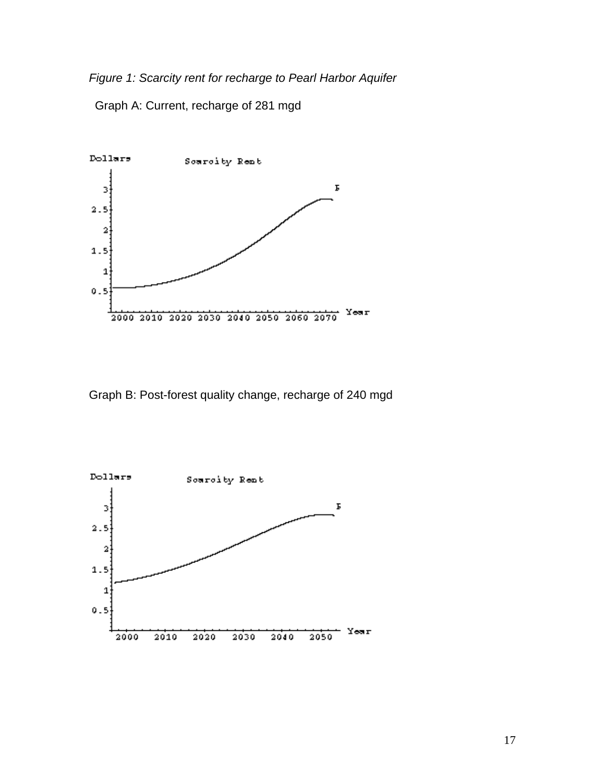*Figure 1: Scarcity rent for recharge to Pearl Harbor Aquifer*

Graph A: Current, recharge of 281 mgd



Graph B: Post-forest quality change, recharge of 240 mgd

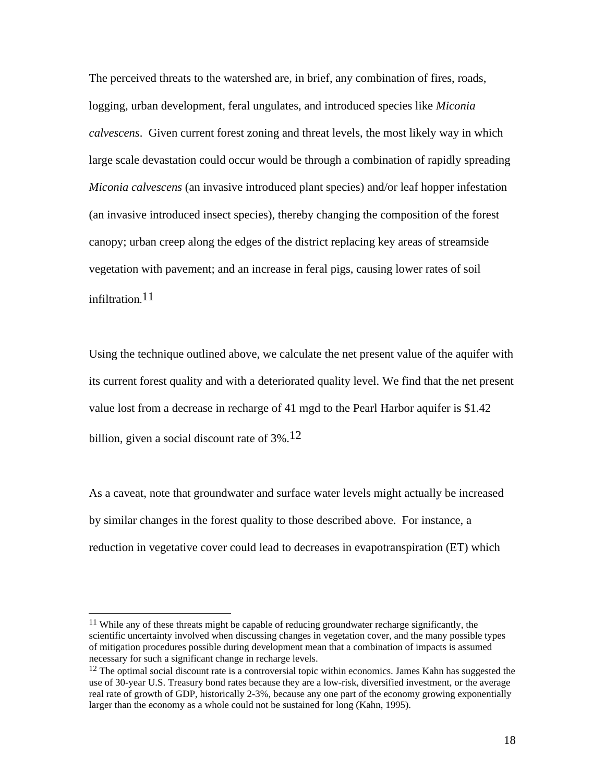The perceived threats to the watershed are, in brief, any combination of fires, roads, logging, urban development, feral ungulates, and introduced species like *Miconia calvescens*. Given current forest zoning and threat levels, the most likely way in which large scale devastation could occur would be through a combination of rapidly spreading *Miconia calvescens* (an invasive introduced plant species) and/or leaf hopper infestation (an invasive introduced insect species), thereby changing the composition of the forest canopy; urban creep along the edges of the district replacing key areas of streamside vegetation with pavement; and an increase in feral pigs, causing lower rates of soil infiltration.<sup>11</sup>

Using the technique outlined above, we calculate the net present value of the aquifer with its current forest quality and with a deteriorated quality level. We find that the net present value lost from a decrease in recharge of 41 mgd to the Pearl Harbor aquifer is \$1.42 billion, given a social discount rate of  $3\%$ .<sup>12</sup>

As a caveat, note that groundwater and surface water levels might actually be increased by similar changes in the forest quality to those described above. For instance, a reduction in vegetative cover could lead to decreases in evapotranspiration (ET) which

 $\overline{\phantom{a}}$ 

<sup>&</sup>lt;sup>11</sup> While any of these threats might be capable of reducing groundwater recharge significantly, the scientific uncertainty involved when discussing changes in vegetation cover, and the many possible types of mitigation procedures possible during development mean that a combination of impacts is assumed necessary for such a significant change in recharge levels.

 $12$  The optimal social discount rate is a controversial topic within economics. James Kahn has suggested the use of 30-year U.S. Treasury bond rates because they are a low-risk, diversified investment, or the average real rate of growth of GDP, historically 2-3%, because any one part of the economy growing exponentially larger than the economy as a whole could not be sustained for long (Kahn, 1995).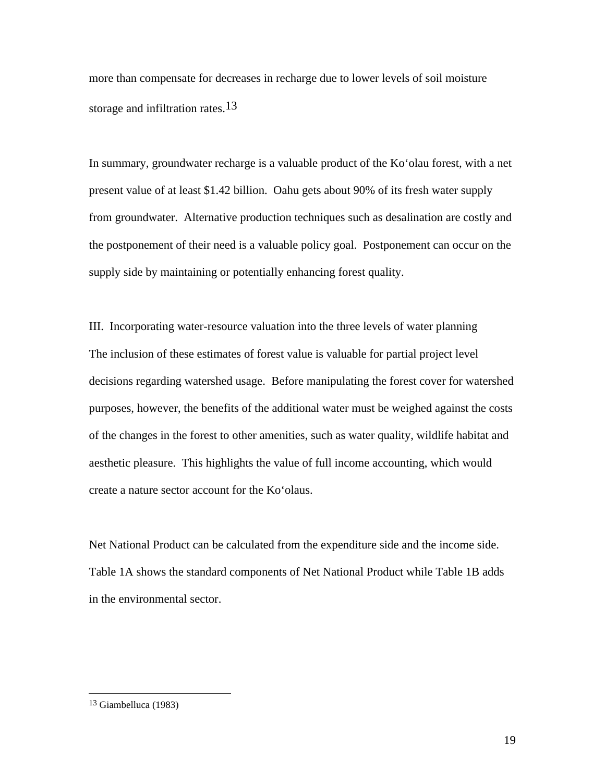more than compensate for decreases in recharge due to lower levels of soil moisture storage and infiltration rates.<sup>13</sup>

In summary, groundwater recharge is a valuable product of the Ko'olau forest, with a net present value of at least \$1.42 billion. Oahu gets about 90% of its fresh water supply from groundwater. Alternative production techniques such as desalination are costly and the postponement of their need is a valuable policy goal. Postponement can occur on the supply side by maintaining or potentially enhancing forest quality.

III. Incorporating water-resource valuation into the three levels of water planning The inclusion of these estimates of forest value is valuable for partial project level decisions regarding watershed usage. Before manipulating the forest cover for watershed purposes, however, the benefits of the additional water must be weighed against the costs of the changes in the forest to other amenities, such as water quality, wildlife habitat and aesthetic pleasure. This highlights the value of full income accounting, which would create a nature sector account for the Ko'olaus.

Net National Product can be calculated from the expenditure side and the income side. Table 1A shows the standard components of Net National Product while Table 1B adds in the environmental sector.

 $\overline{\phantom{a}}$ 

<sup>13</sup> Giambelluca (1983)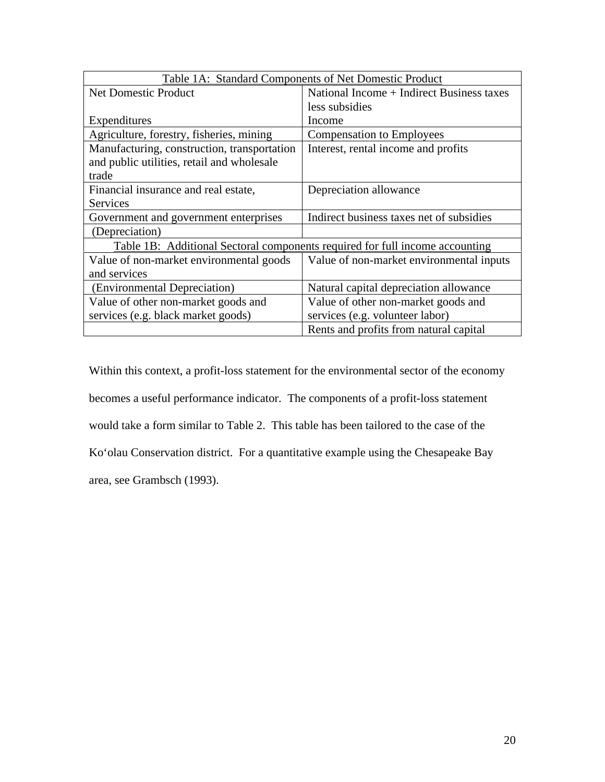| Table 1A: Standard Components of Net Domestic Product                        |                                           |  |  |  |
|------------------------------------------------------------------------------|-------------------------------------------|--|--|--|
| Net Domestic Product                                                         | National Income + Indirect Business taxes |  |  |  |
|                                                                              | less subsidies                            |  |  |  |
| Expenditures                                                                 | Income                                    |  |  |  |
| Agriculture, forestry, fisheries, mining                                     | <b>Compensation to Employees</b>          |  |  |  |
| Manufacturing, construction, transportation                                  | Interest, rental income and profits       |  |  |  |
| and public utilities, retail and wholesale                                   |                                           |  |  |  |
| trade                                                                        |                                           |  |  |  |
| Financial insurance and real estate,                                         | Depreciation allowance                    |  |  |  |
| <b>Services</b>                                                              |                                           |  |  |  |
| Government and government enterprises                                        | Indirect business taxes net of subsidies  |  |  |  |
| (Depreciation)                                                               |                                           |  |  |  |
| Table 1B: Additional Sectoral components required for full income accounting |                                           |  |  |  |
| Value of non-market environmental goods                                      | Value of non-market environmental inputs  |  |  |  |
| and services                                                                 |                                           |  |  |  |
| (Environmental Depreciation)                                                 | Natural capital depreciation allowance    |  |  |  |
| Value of other non-market goods and                                          | Value of other non-market goods and       |  |  |  |
| services (e.g. black market goods)                                           | services (e.g. volunteer labor)           |  |  |  |
|                                                                              | Rents and profits from natural capital    |  |  |  |

Within this context, a profit-loss statement for the environmental sector of the economy becomes a useful performance indicator. The components of a profit-loss statement would take a form similar to Table 2. This table has been tailored to the case of the Ko'olau Conservation district. For a quantitative example using the Chesapeake Bay area, see Grambsch (1993).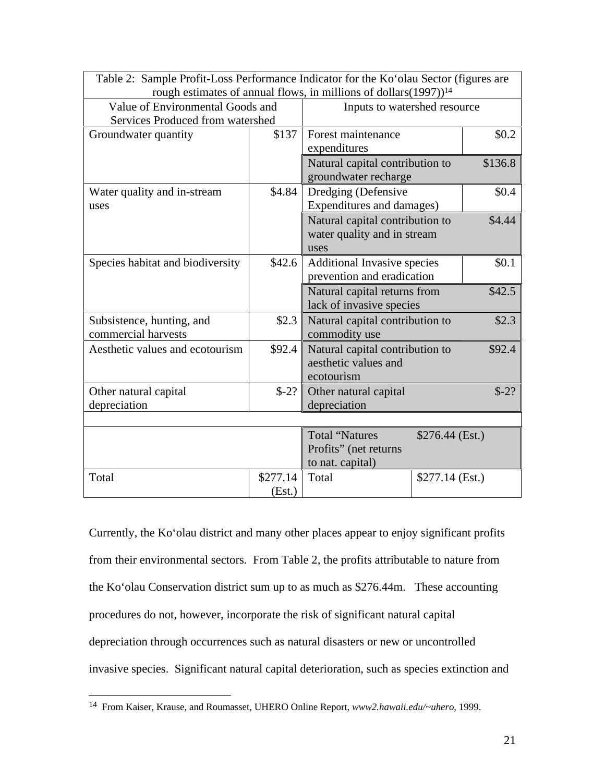| Table 2: Sample Profit-Loss Performance Indicator for the Ko'olau Sector (figures are<br>rough estimates of annual flows, in millions of dollars(1997)) <sup>14</sup> |                    |                                                                                                                                          |                  |         |  |
|-----------------------------------------------------------------------------------------------------------------------------------------------------------------------|--------------------|------------------------------------------------------------------------------------------------------------------------------------------|------------------|---------|--|
| Value of Environmental Goods and<br>Services Produced from watershed                                                                                                  |                    | Inputs to watershed resource                                                                                                             |                  |         |  |
| Groundwater quantity                                                                                                                                                  | \$137              | Forest maintenance<br>expenditures                                                                                                       |                  | \$0.2\$ |  |
|                                                                                                                                                                       |                    | Natural capital contribution to<br>groundwater recharge                                                                                  |                  | \$136.8 |  |
| Water quality and in-stream<br>uses                                                                                                                                   | \$4.84             | Dredging (Defensive<br>\$0.4<br>Expenditures and damages)                                                                                |                  |         |  |
|                                                                                                                                                                       |                    | Natural capital contribution to<br>\$4.44<br>water quality and in stream<br>uses                                                         |                  |         |  |
| Species habitat and biodiversity                                                                                                                                      | \$42.6             | \$0.1<br>Additional Invasive species<br>prevention and eradication<br>Natural capital returns from<br>\$42.5<br>lack of invasive species |                  |         |  |
|                                                                                                                                                                       |                    |                                                                                                                                          |                  |         |  |
| Subsistence, hunting, and<br>commercial harvests                                                                                                                      | \$2.3              | \$2.3<br>Natural capital contribution to<br>commodity use                                                                                |                  |         |  |
| Aesthetic values and ecotourism                                                                                                                                       | \$92.4             | Natural capital contribution to<br>\$92.4<br>aesthetic values and<br>ecotourism                                                          |                  |         |  |
| Other natural capital<br>depreciation                                                                                                                                 | $$-2?$             | $$-2?$<br>Other natural capital<br>depreciation                                                                                          |                  |         |  |
|                                                                                                                                                                       |                    |                                                                                                                                          |                  |         |  |
|                                                                                                                                                                       |                    | <b>Total "Natures</b><br>Profits" (net returns<br>to nat. capital)                                                                       | $$276.44$ (Est.) |         |  |
| Total                                                                                                                                                                 | \$277.14<br>(Est.) | Total                                                                                                                                    | $$277.14$ (Est.) |         |  |

Currently, the Ko'olau district and many other places appear to enjoy significant profits from their environmental sectors. From Table 2, the profits attributable to nature from the Ko'olau Conservation district sum up to as much as \$276.44m. These accounting procedures do not, however, incorporate the risk of significant natural capital depreciation through occurrences such as natural disasters or new or uncontrolled invasive species. Significant natural capital deterioration, such as species extinction and

l

<sup>14</sup> From Kaiser, Krause, and Roumasset, UHERO Online Report, *www2.hawaii.edu/~uhero*, 1999.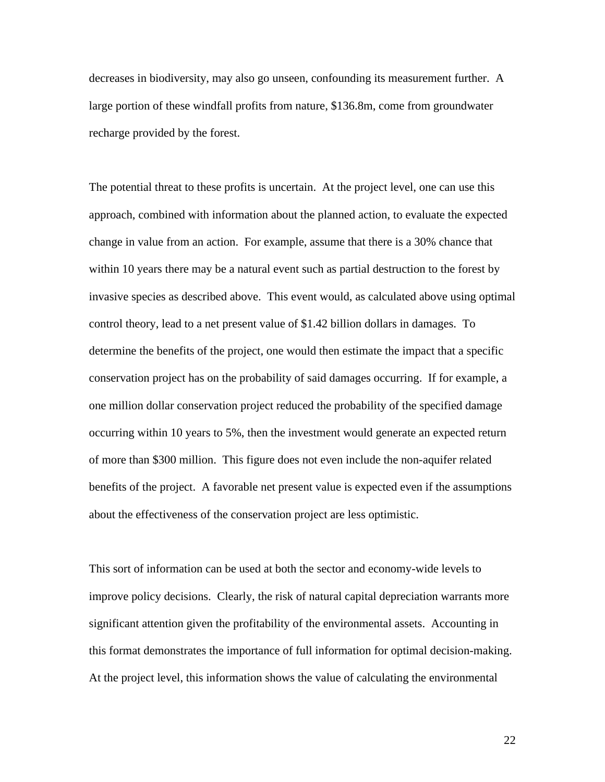decreases in biodiversity, may also go unseen, confounding its measurement further. A large portion of these windfall profits from nature, \$136.8m, come from groundwater recharge provided by the forest.

The potential threat to these profits is uncertain. At the project level, one can use this approach, combined with information about the planned action, to evaluate the expected change in value from an action. For example, assume that there is a 30% chance that within 10 years there may be a natural event such as partial destruction to the forest by invasive species as described above. This event would, as calculated above using optimal control theory, lead to a net present value of \$1.42 billion dollars in damages. To determine the benefits of the project, one would then estimate the impact that a specific conservation project has on the probability of said damages occurring. If for example, a one million dollar conservation project reduced the probability of the specified damage occurring within 10 years to 5%, then the investment would generate an expected return of more than \$300 million. This figure does not even include the non-aquifer related benefits of the project. A favorable net present value is expected even if the assumptions about the effectiveness of the conservation project are less optimistic.

This sort of information can be used at both the sector and economy-wide levels to improve policy decisions. Clearly, the risk of natural capital depreciation warrants more significant attention given the profitability of the environmental assets. Accounting in this format demonstrates the importance of full information for optimal decision-making. At the project level, this information shows the value of calculating the environmental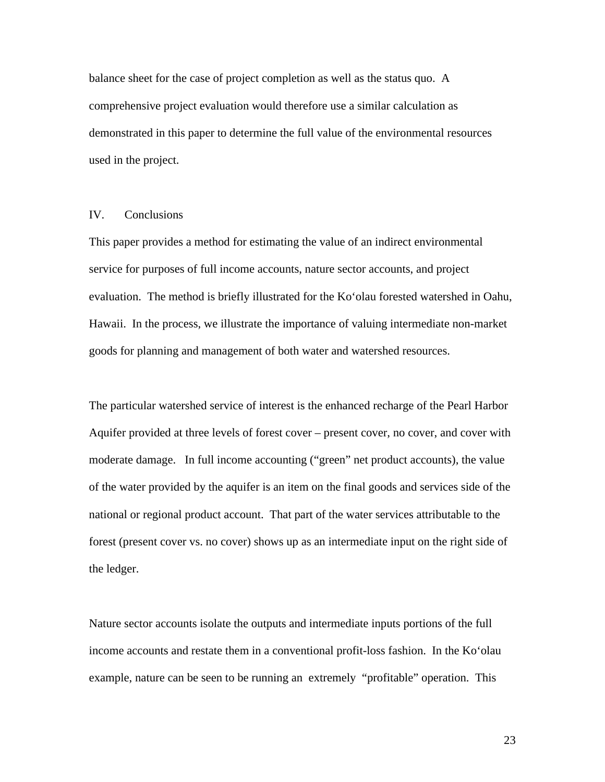balance sheet for the case of project completion as well as the status quo. A comprehensive project evaluation would therefore use a similar calculation as demonstrated in this paper to determine the full value of the environmental resources used in the project.

#### IV. Conclusions

This paper provides a method for estimating the value of an indirect environmental service for purposes of full income accounts, nature sector accounts, and project evaluation. The method is briefly illustrated for the Ko'olau forested watershed in Oahu, Hawaii. In the process, we illustrate the importance of valuing intermediate non-market goods for planning and management of both water and watershed resources.

The particular watershed service of interest is the enhanced recharge of the Pearl Harbor Aquifer provided at three levels of forest cover – present cover, no cover, and cover with moderate damage. In full income accounting ("green" net product accounts), the value of the water provided by the aquifer is an item on the final goods and services side of the national or regional product account. That part of the water services attributable to the forest (present cover vs. no cover) shows up as an intermediate input on the right side of the ledger.

Nature sector accounts isolate the outputs and intermediate inputs portions of the full income accounts and restate them in a conventional profit-loss fashion. In the Ko'olau example, nature can be seen to be running an extremely "profitable" operation. This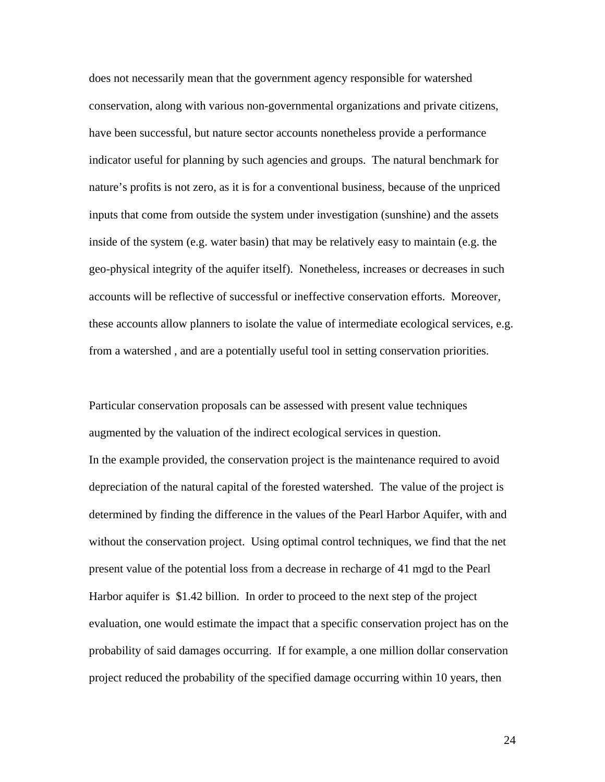does not necessarily mean that the government agency responsible for watershed conservation, along with various non-governmental organizations and private citizens, have been successful, but nature sector accounts nonetheless provide a performance indicator useful for planning by such agencies and groups. The natural benchmark for nature's profits is not zero, as it is for a conventional business, because of the unpriced inputs that come from outside the system under investigation (sunshine) and the assets inside of the system (e.g. water basin) that may be relatively easy to maintain (e.g. the geo-physical integrity of the aquifer itself). Nonetheless, increases or decreases in such accounts will be reflective of successful or ineffective conservation efforts. Moreover, these accounts allow planners to isolate the value of intermediate ecological services, e.g. from a watershed , and are a potentially useful tool in setting conservation priorities.

Particular conservation proposals can be assessed with present value techniques augmented by the valuation of the indirect ecological services in question. In the example provided, the conservation project is the maintenance required to avoid depreciation of the natural capital of the forested watershed. The value of the project is determined by finding the difference in the values of the Pearl Harbor Aquifer, with and without the conservation project. Using optimal control techniques, we find that the net present value of the potential loss from a decrease in recharge of 41 mgd to the Pearl Harbor aquifer is \$1.42 billion. In order to proceed to the next step of the project evaluation, one would estimate the impact that a specific conservation project has on the probability of said damages occurring. If for example, a one million dollar conservation project reduced the probability of the specified damage occurring within 10 years, then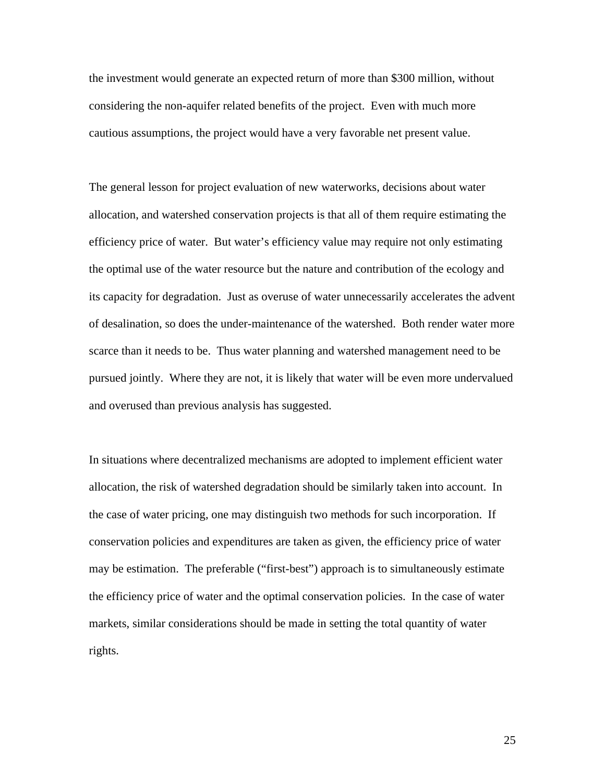the investment would generate an expected return of more than \$300 million, without considering the non-aquifer related benefits of the project. Even with much more cautious assumptions, the project would have a very favorable net present value.

The general lesson for project evaluation of new waterworks, decisions about water allocation, and watershed conservation projects is that all of them require estimating the efficiency price of water. But water's efficiency value may require not only estimating the optimal use of the water resource but the nature and contribution of the ecology and its capacity for degradation. Just as overuse of water unnecessarily accelerates the advent of desalination, so does the under-maintenance of the watershed. Both render water more scarce than it needs to be. Thus water planning and watershed management need to be pursued jointly. Where they are not, it is likely that water will be even more undervalued and overused than previous analysis has suggested.

In situations where decentralized mechanisms are adopted to implement efficient water allocation, the risk of watershed degradation should be similarly taken into account. In the case of water pricing, one may distinguish two methods for such incorporation. If conservation policies and expenditures are taken as given, the efficiency price of water may be estimation. The preferable ("first-best") approach is to simultaneously estimate the efficiency price of water and the optimal conservation policies. In the case of water markets, similar considerations should be made in setting the total quantity of water rights.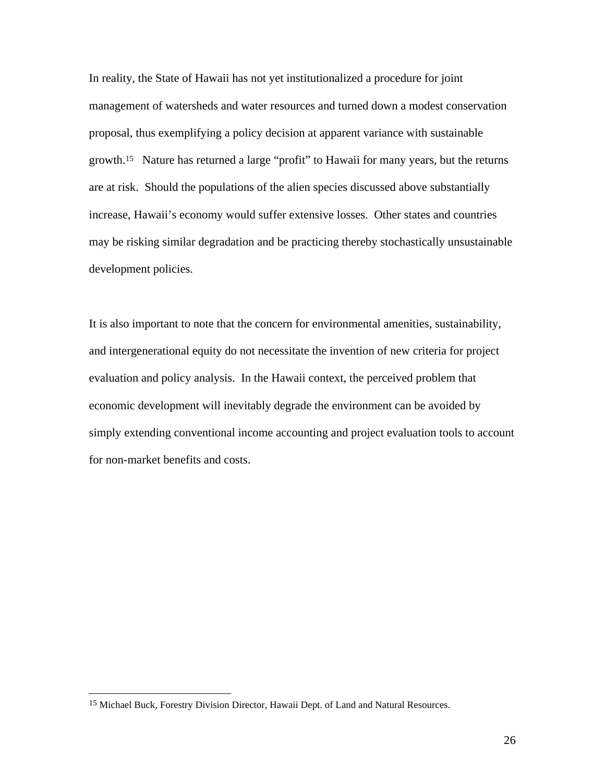In reality, the State of Hawaii has not yet institutionalized a procedure for joint management of watersheds and water resources and turned down a modest conservation proposal, thus exemplifying a policy decision at apparent variance with sustainable growth.15 Nature has returned a large "profit" to Hawaii for many years, but the returns are at risk. Should the populations of the alien species discussed above substantially increase, Hawaii's economy would suffer extensive losses. Other states and countries may be risking similar degradation and be practicing thereby stochastically unsustainable development policies.

It is also important to note that the concern for environmental amenities, sustainability, and intergenerational equity do not necessitate the invention of new criteria for project evaluation and policy analysis. In the Hawaii context, the perceived problem that economic development will inevitably degrade the environment can be avoided by simply extending conventional income accounting and project evaluation tools to account for non-market benefits and costs.

 $\overline{\phantom{a}}$ 

<sup>15</sup> Michael Buck, Forestry Division Director, Hawaii Dept. of Land and Natural Resources.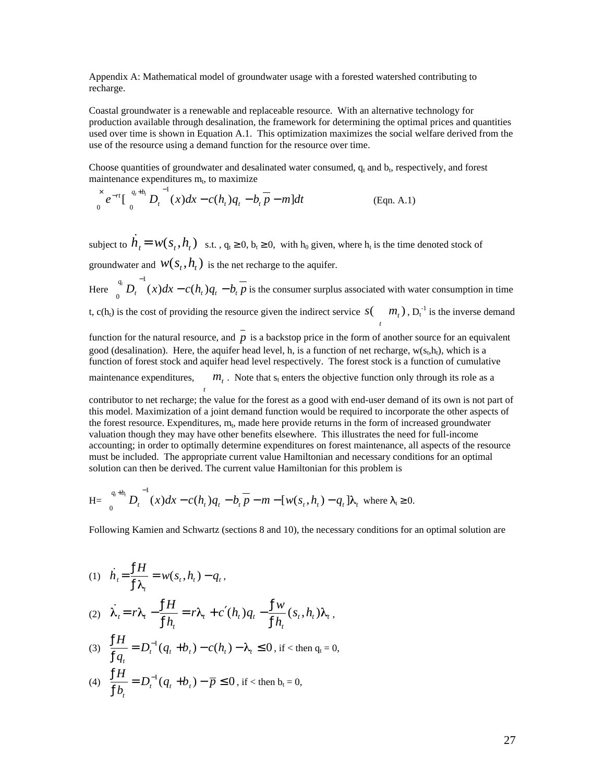Appendix A: Mathematical model of groundwater usage with a forested watershed contributing to recharge.

Coastal groundwater is a renewable and replaceable resource. With an alternative technology for production available through desalination, the framework for determining the optimal prices and quantities used over time is shown in Equation A.1. This optimization maximizes the social welfare derived from the use of the resource using a demand function for the resource over time.

Choose quantities of groundwater and desalinated water consumed,  $q_t$  and  $b_t$ , respectively, and forest maintenance expenditures m<sub>t</sub>, to maximize

$$
\int_{0}^{x} e^{-rt} \left[ \int_{0}^{q_{t}+b_{t}} D_{t}^{-1}(x) dx - c(h_{t}) q_{t} - b_{t} \overline{p} - m \right] dt
$$
 (Eqn. A.1)

subject to  $\dot{h}_t = w(s_t, h_t)$  s.t.,  $q_t$  0,  $b_t$  0, with  $h_0$  given, where  $h_t$  is the time denoted stock of groundwater and  $W(s_t, h_t)$  is the net recharge to the aquifer.

Here  $\int_{0}^{q_t} D_t^{-1}(x) dx - c(h_t) q_t - b_t \overline{p}$  is the con- $\int_0^{\infty} D_t(x) dx - c(h_t) q_t - b_t p$  is the consumer surplus associated with water consumption in time t, c(h<sub>t</sub>) is the cost of providing the resource given the indirect service  $S\begin{pmatrix} m_t \end{pmatrix}$ ,  $D_t^{-1}$  is the inverse demand

function for the natural resource, and  $\overline{p}$  is a backstop price in the form of another source for an equivalent good (desalination). Here, the aquifer head level, h, is a function of net recharge,  $w(s_t, h_t)$ , which is a function of forest stock and aquifer head level respectively. The forest stock is a function of cumulative maintenance expenditures,  $m_t$ . Note that  $s_t$  enters the objective function only through its role as a *t* 

contributor to net recharge; the value for the forest as a good with end-user demand of its own is not part of this model. Maximization of a joint demand function would be required to incorporate the other aspects of the forest resource. Expenditures,  $m_t$ , made here provide returns in the form of increased groundwater valuation though they may have other benefits elsewhere. This illustrates the need for full-income accounting; in order to optimally determine expenditures on forest maintenance, all aspects of the resource must be included. The appropriate current value Hamiltonian and necessary conditions for an optimal solution can then be derived. The current value Hamiltonian for this problem is

H=
$$
\int_{0}^{q_{t}+b_{t}} D_{t}^{-1}(x)dx - c(h_{t})q_{t} - b_{t}p - m - [w(s_{t}, h_{t}) - q_{t}]\lambda_{t}
$$
 where  $t_{t} = 0$ .

Following Kamien and Schwartz (sections 8 and 10), the necessary conditions for an optimal solution are

$$
(1) \quad \dot{h}_t = \frac{fH}{f\lambda_t} = w(s_t, h_t) - q_t,
$$

$$
(2) \quad \dot{\lambda}_t = r\lambda_t - \frac{fH}{f h_t} = r\lambda_t + c \ (h_t)q_t - \frac{f w}{f h_t} (s_t, h_t) \lambda_t \,,
$$

- (3)  $\frac{JH}{f} = D_t^{-1}(q_t + b_t) c(h_t) \lambda_t$  0, if < then  $fq_{t}$ <sup>-</sup>  $fH = D^{-1}(a)$  $\frac{dt}{q_t} = D_t^{-1}(q_t + b_t) - c(h_t) - \lambda_t$  $H$   $R^{-1}$ , if  $\lt$  then  $q_t = 0$ ,
- (4)  $\frac{JH}{U} = D_t^{-1}(q_t + b_t) \bar{p} = 0$ , if < then  $fb_{t}$  $\frac{fH}{f} = D_t^{-1}(q_t + b_t) - \overline{p} = 0$ , if <  $b_{t}$ <sup> $\rightarrow$  t</sup>  $H$   $R^{-1}$  $t^{t}$   $\left($ *t*  $t^{t}$  $\boldsymbol{\nu}_{t}$  $\boldsymbol{\nu}$  $\boldsymbol{\nu}$  $\boldsymbol{\nu}$ *t* , if  $\langle$  then  $b_t = 0$ ,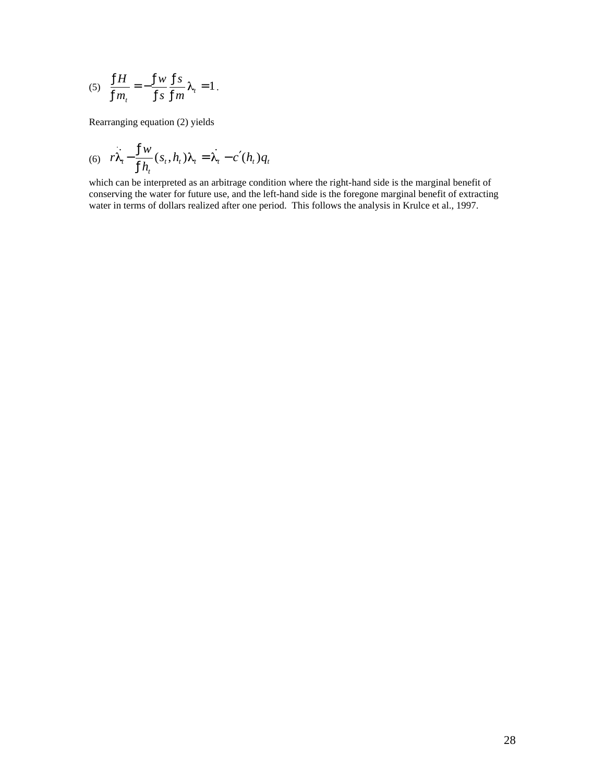$$
(5) \quad \frac{fH}{fm_t} = -\frac{fw}{fs} \frac{fs}{fm} \lambda_t = 1.
$$

Rearranging equation (2) yields

(6) 
$$
r\lambda_t - \frac{f w}{f h_t}(s_t, h_t)\lambda_t = \lambda_t - c (h_t) q_t
$$

which can be interpreted as an arbitrage condition where the right-hand side is the marginal benefit of conserving the water for future use, and the left-hand side is the foregone marginal benefit of extracting water in terms of dollars realized after one period. This follows the analysis in Krulce et al., 1997.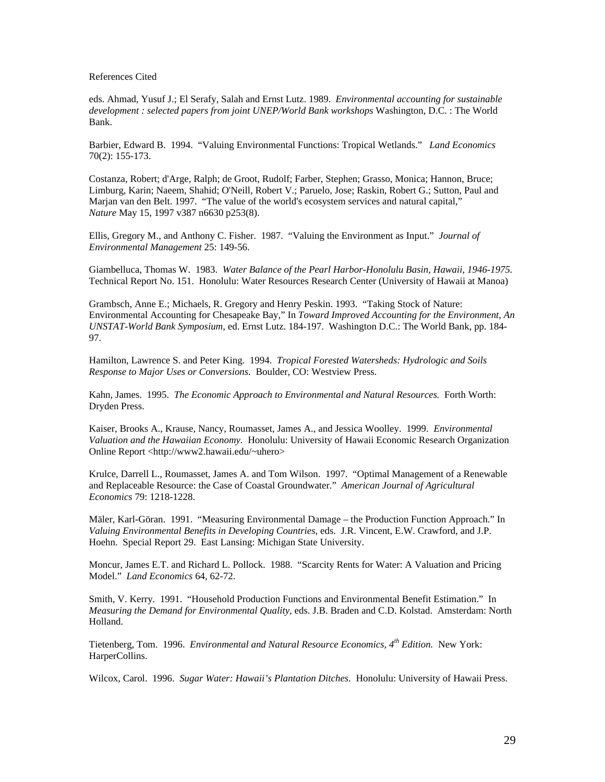References Cited

eds. Ahmad, Yusuf J.; El Serafy, Salah and Ernst Lutz. 1989. *Environmental accounting for sustainable development : selected papers from joint UNEP/World Bank workshops* Washington, D.C. : The World Bank.

Barbier, Edward B. 1994. "Valuing Environmental Functions: Tropical Wetlands." *Land Economics* 70(2): 155-173.

Costanza, Robert; d'Arge, Ralph; de Groot, Rudolf; Farber, Stephen; Grasso, Monica; Hannon, Bruce; Limburg, Karin; Naeem, Shahid; O'Neill, Robert V.; Paruelo, Jose; Raskin, Robert G.; Sutton, Paul and Marjan van den Belt. 1997. "The value of the world's ecosystem services and natural capital," *Nature* May 15, 1997 v387 n6630 p253(8).

Ellis, Gregory M., and Anthony C. Fisher. 1987. "Valuing the Environment as Input." *Journal of Environmental Management* 25: 149-56.

Giambelluca, Thomas W. 1983. *Water Balance of the Pearl Harbor-Honolulu Basin, Hawaii, 1946-1975.* Technical Report No. 151. Honolulu: Water Resources Research Center (University of Hawaii at Manoa)

Grambsch, Anne E.; Michaels, R. Gregory and Henry Peskin. 1993. "Taking Stock of Nature: Environmental Accounting for Chesapeake Bay," In *Toward Improved Accounting for the Environment*, *An UNSTAT-World Bank Symposium*, ed. Ernst Lutz. 184-197. Washington D.C.: The World Bank, pp. 184- 97.

Hamilton, Lawrence S. and Peter King. 1994. *Tropical Forested Watersheds: Hydrologic and Soils Response to Major Uses or Conversions.* Boulder, CO: Westview Press.

Kahn, James. 1995. *The Economic Approach to Environmental and Natural Resources.* Forth Worth: Dryden Press.

Kaiser, Brooks A., Krause, Nancy, Roumasset, James A., and Jessica Woolley. 1999. *Environmental Valuation and the Hawaiian Economy.* Honolulu: University of Hawaii Economic Research Organization Online Report <http://www2.hawaii.edu/~uhero>

Krulce, Darrell L., Roumasset, James A. and Tom Wilson. 1997. "Optimal Management of a Renewable and Replaceable Resource: the Case of Coastal Groundwater." *American Journal of Agricultural Economics* 79: 1218-1228.

Mäler, Karl-Göran. 1991. "Measuring Environmental Damage – the Production Function Approach." In *Valuing Environmental Benefits in Developing Countries*, eds. J.R. Vincent, E.W. Crawford, and J.P. Hoehn. Special Report 29. East Lansing: Michigan State University.

Moncur, James E.T. and Richard L. Pollock. 1988. "Scarcity Rents for Water: A Valuation and Pricing Model." *Land Economics* 64, 62-72.

Smith, V. Kerry. 1991. "Household Production Functions and Environmental Benefit Estimation." In *Measuring the Demand for Environmental Quality,* eds. J.B. Braden and C.D. Kolstad. Amsterdam: North Holland.

Tietenberg, Tom. 1996. *Environmental and Natural Resource Economics, 4th Edition.* New York: HarperCollins.

Wilcox, Carol. 1996. *Sugar Water: Hawaii's Plantation Ditches.* Honolulu: University of Hawaii Press.